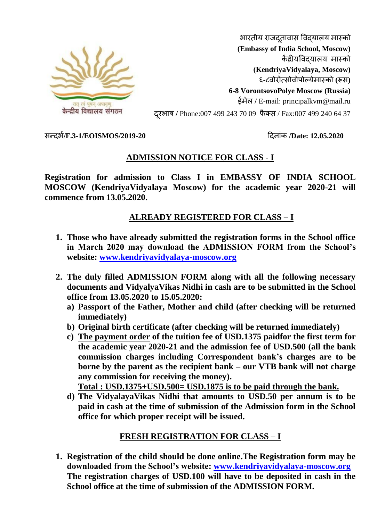

भारतीय राजदतावास विदयालय मास्को **(Embassy of India School, Moscow)** कें द्रीयववद्यालय मास्को **(KendriyaVidyalaya, Moscow)** ६**-**८वोरोंत्सोवोपोल्येमास्को **(**रूस**) 6-8 VorontsovoPolye Moscow (Russia)** ईमेल **/** E-mail: principalkvm@mail.ru दरूभाष **/** Phone:007 499 243 70 09 फै क्स / Fax:007 499 240 64 37

सन्दभभ**/F.3-1/EOISMOS/2019-20** ददनाांक **/Date: 12.05.2020**

# **ADMISSION NOTICE FOR CLASS - I**

**Registration for admission to Class I in EMBASSY OF INDIA SCHOOL MOSCOW (KendriyaVidyalaya Moscow) for the academic year 2020-21 will commence from 13.05.2020.**

# **ALREADY REGISTERED FOR CLASS – I**

- **1. Those who have already submitted the registration forms in the School office in March 2020 may download the ADMISSION FORM from the School's website: [www.kendriyavidyalaya-moscow.org](http://www.kendriyavidyalaya-moscow.org/)**
- **2. The duly filled ADMISSION FORM along with all the following necessary documents and VidyalyaVikas Nidhi in cash are to be submitted in the School office from 13.05.2020 to 15.05.2020:**
	- **a) Passport of the Father, Mother and child (after checking will be returned immediately)**
	- **b) Original birth certificate (after checking will be returned immediately)**
	- **c) The payment order of the tuition fee of USD.1375 paidfor the first term for the academic year 2020-21 and the admission fee of USD.500 (all the bank commission charges including Correspondent bank's charges are to be borne by the parent as the recipient bank – our VTB bank will not charge any commission for receiving the money).**

**Total : USD.1375+USD.500= USD.1875 is to be paid through the bank.**

**d) The VidyalayaVikas Nidhi that amounts to USD.50 per annum is to be paid in cash at the time of submission of the Admission form in the School office for which proper receipt will be issued.**

# **FRESH REGISTRATION FOR CLASS – I**

**1. Registration of the child should be done online.The Registration form may be downloaded from the School's website: [www.kendriyavidyalaya-moscow.org](http://www.kendriyavidyalaya-moscow.org/) The registration charges of USD.100 will have to be deposited in cash in the School office at the time of submission of the ADMISSION FORM.**